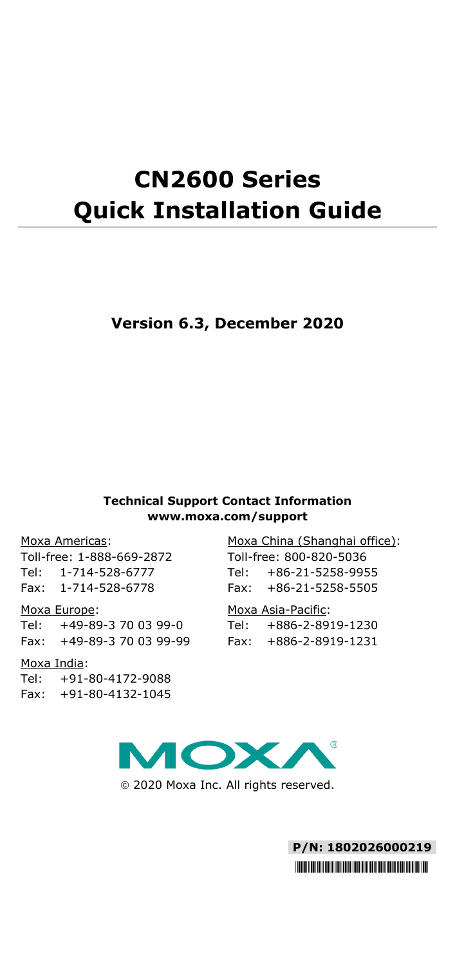# **CN2600 Series Quick Installation Guide**

## **Version 6.3, December 2020**

#### **Technical Support Contact Information www.moxa.com/support**

#### Moxa Americas:

Toll-free: 1-888-669-2872 Tel: 1-714-528-6777 Fax: 1-714-528-6778

#### Moxa Europe:

Tel: +49-89-3 70 03 99-0 Fax: +49-89-3 70 03 99-99

#### Moxa India:

Tel: +91-80-4172-9088 Fax: +91-80-4132-1045

Moxa China (Shanghai office): Toll-free: 800-820-5036 Tel: +86-21-5258-9955 Fax: +86-21-5258-5505

#### Moxa Asia-Pacific:

Tel: +886-2-8919-1230 Fax: +886-2-8919-1231



2020 Moxa Inc. All rights reserved.

**P/N: 1802026000219** \*1802026000219\*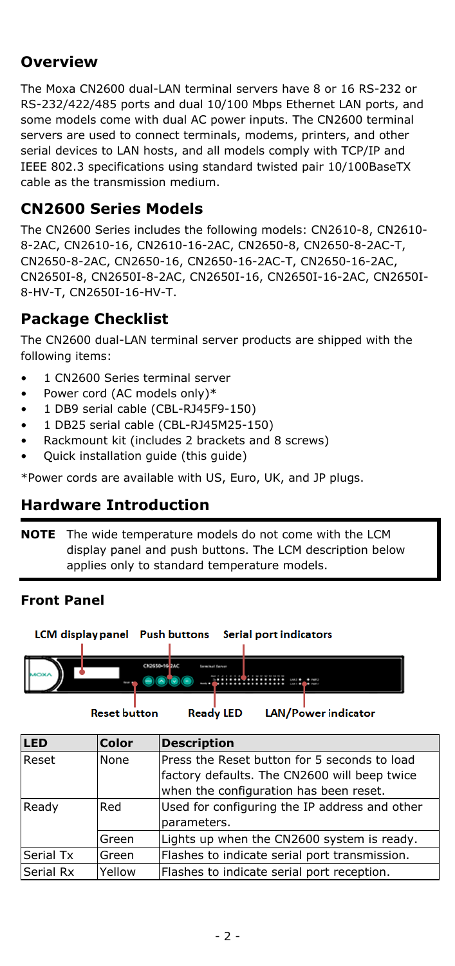# **Overview**

The Moxa CN2600 dual-LAN terminal servers have 8 or 16 RS-232 or RS-232/422/485 ports and dual 10/100 Mbps Ethernet LAN ports, and some models come with dual AC power inputs. The CN2600 terminal servers are used to connect terminals, modems, printers, and other serial devices to LAN hosts, and all models comply with TCP/IP and IEEE 802.3 specifications using standard twisted pair 10/100BaseTX cable as the transmission medium.

# **CN2600 Series Models**

The CN2600 Series includes the following models: CN2610-8, CN2610- 8-2AC, CN2610-16, CN2610-16-2AC, CN2650-8, CN2650-8-2AC-T, CN2650-8-2AC, CN2650-16, CN2650-16-2AC-T, CN2650-16-2AC, CN2650I-8, CN2650I-8-2AC, CN2650I-16, CN2650I-16-2AC, CN2650I-8-HV-T, CN2650I-16-HV-T.

# **Package Checklist**

The CN2600 dual-LAN terminal server products are shipped with the following items:

- 1 CN2600 Series terminal server
- Power cord (AC models only)\*
- 1 DB9 serial cable (CBL-RJ45F9-150)
- 1 DB25 serial cable (CBL-RJ45M25-150)
- Rackmount kit (includes 2 brackets and 8 screws)
- Quick installation guide (this guide)

\*Power cords are available with US, Euro, UK, and JP plugs.

# **Hardware Introduction**

**NOTE** The wide temperature models do not come with the LCM display panel and push buttons. The LCM description below applies only to standard temperature models.

## **Front Panel**



**Reset button** 

**Ready LED LAN/Power indicator** 

| LED       | <b>Color</b>                                                        | <b>Description</b>                                                                                                                     |  |
|-----------|---------------------------------------------------------------------|----------------------------------------------------------------------------------------------------------------------------------------|--|
| Reset     | None                                                                | Press the Reset button for 5 seconds to load<br>factory defaults. The CN2600 will beep twice<br>when the configuration has been reset. |  |
| Ready     | Used for configuring the IP address and other<br>Red<br>parameters. |                                                                                                                                        |  |
|           | Green                                                               | Lights up when the CN2600 system is ready.                                                                                             |  |
| Serial Tx | Green                                                               | Flashes to indicate serial port transmission.                                                                                          |  |
| Serial Rx | Yellow                                                              | Flashes to indicate serial port reception.                                                                                             |  |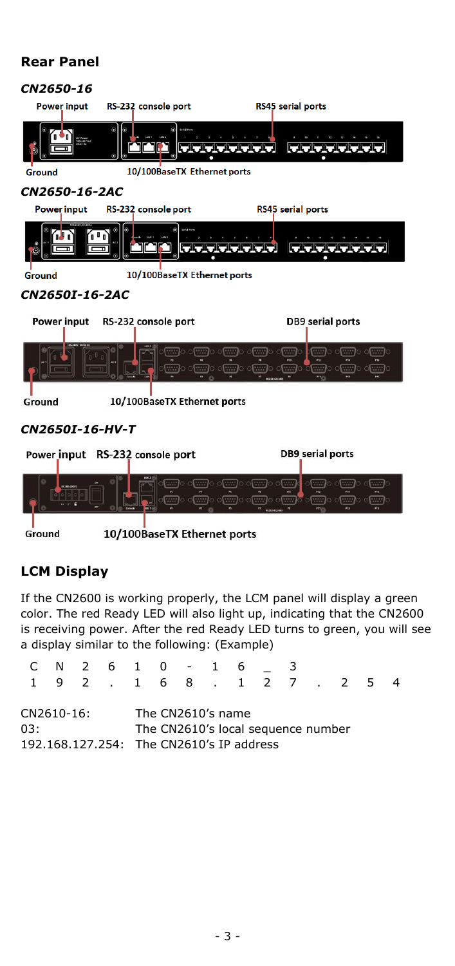#### **Rear Panel**



# **LCM Display**

If the CN2600 is working properly, the LCM panel will display a green color. The red Ready LED will also light up, indicating that the CN2600 is receiving power. After the red Ready LED turns to green, you will see a display similar to the following: (Example)

| 192.168.127.254<br>The CN2610's name<br>CN2610-16:<br>The CN2610's local sequence number<br>03: |  | C N 2 6 1 0 - 1 6 |  |  |  |  |  |  |
|-------------------------------------------------------------------------------------------------|--|-------------------|--|--|--|--|--|--|
|                                                                                                 |  |                   |  |  |  |  |  |  |
| 192.168.127.254: The CN2610's IP address                                                        |  |                   |  |  |  |  |  |  |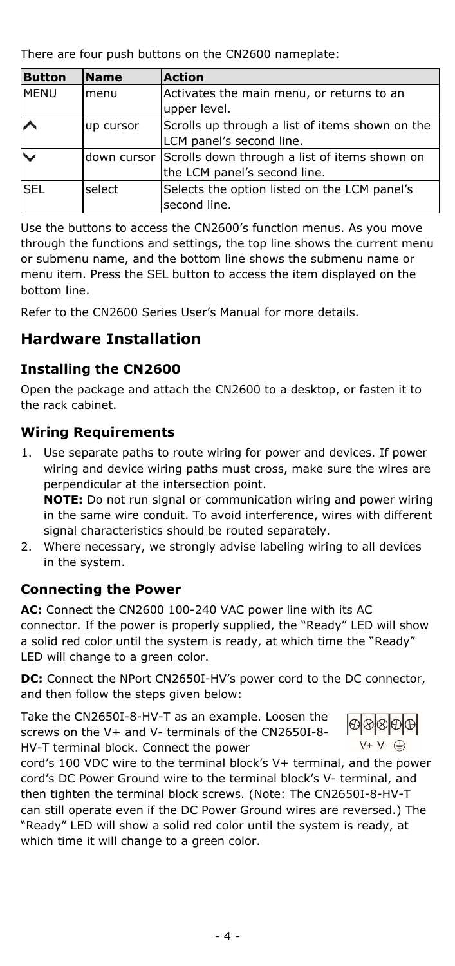There are four push buttons on the CN2600 nameplate:

| <b>Button</b>           | <b>Name</b> | <b>Action</b>                                             |  |
|-------------------------|-------------|-----------------------------------------------------------|--|
| <b>MENU</b>             | menu        | Activates the main menu, or returns to an<br>upper level. |  |
| $\sim$                  | up cursor   | Scrolls up through a list of items shown on the           |  |
|                         |             | LCM panel's second line.                                  |  |
| $\overline{\mathsf{v}}$ |             | down cursor Scrolls down through a list of items shown on |  |
|                         |             | the LCM panel's second line.                              |  |
| <b>SEL</b>              | select      | Selects the option listed on the LCM panel's              |  |
|                         |             | second line.                                              |  |

Use the buttons to access the CN2600's function menus. As you move through the functions and settings, the top line shows the current menu or submenu name, and the bottom line shows the submenu name or menu item. Press the SEL button to access the item displayed on the bottom line.

Refer to the CN2600 Series User's Manual for more details.

# **Hardware Installation**

# **Installing the CN2600**

Open the package and attach the CN2600 to a desktop, or fasten it to the rack cabinet.

## **Wiring Requirements**

1. Use separate paths to route wiring for power and devices. If power wiring and device wiring paths must cross, make sure the wires are perpendicular at the intersection point. **NOTE:** Do not run signal or communication wiring and power wiring

in the same wire conduit. To avoid interference, wires with different signal characteristics should be routed separately.

2. Where necessary, we strongly advise labeling wiring to all devices in the system.

## **Connecting the Power**

**AC:** Connect the CN2600 100-240 VAC power line with its AC connector. If the power is properly supplied, the "Ready" LED will show a solid red color until the system is ready, at which time the "Ready" LED will change to a green color.

**DC:** Connect the NPort CN2650I-HV's power cord to the DC connector, and then follow the steps given below:

Take the CN2650I-8-HV-T as an example. Loosen the screws on the V+ and V- terminals of the CN2650I-8- HV-T terminal block. Connect the power



cord's 100 VDC wire to the terminal block's V+ terminal, and the power cord's DC Power Ground wire to the terminal block's V- terminal, and then tighten the terminal block screws. (Note: The CN2650I-8-HV-T can still operate even if the DC Power Ground wires are reversed.) The "Ready" LED will show a solid red color until the system is ready, at which time it will change to a green color.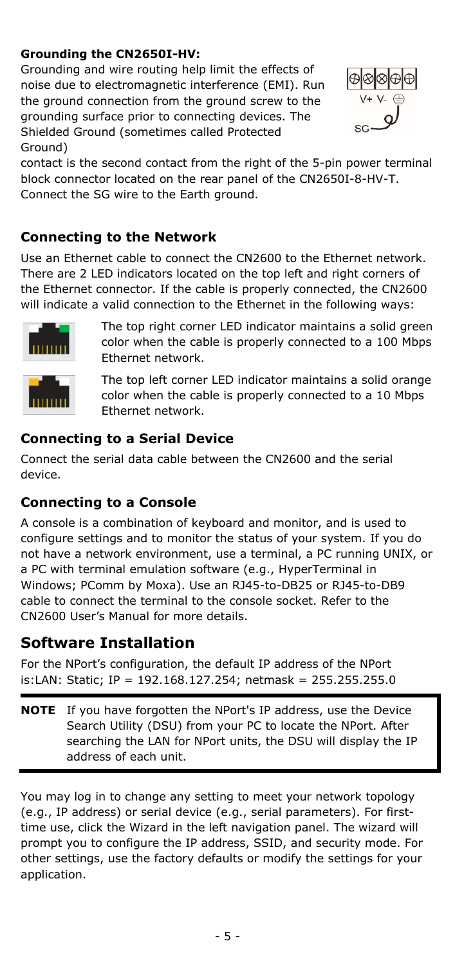#### **Grounding the CN2650I-HV:**

Grounding and wire routing help limit the effects of noise due to electromagnetic interference (EMI). Run the ground connection from the ground screw to the grounding surface prior to connecting devices. The Shielded Ground (sometimes called Protected Ground)



contact is the second contact from the right of the 5-pin power terminal block connector located on the rear panel of the CN2650I-8-HV-T. Connect the SG wire to the Earth ground.

## **Connecting to the Network**

Use an Ethernet cable to connect the CN2600 to the Ethernet network. There are 2 LED indicators located on the top left and right corners of the Ethernet connector. If the cable is properly connected, the CN2600 will indicate a valid connection to the Ethernet in the following ways:



The top right corner LED indicator maintains a solid green color when the cable is properly connected to a 100 Mbps Ethernet network.

The top left corner LED indicator maintains a solid orange color when the cable is properly connected to a 10 Mbps Ethernet network.

## **Connecting to a Serial Device**

Connect the serial data cable between the CN2600 and the serial device.

## **Connecting to a Console**

A console is a combination of keyboard and monitor, and is used to configure settings and to monitor the status of your system. If you do not have a network environment, use a terminal, a PC running UNIX, or a PC with terminal emulation software (e.g., HyperTerminal in Windows; PComm by Moxa). Use an RJ45-to-DB25 or RJ45-to-DB9 cable to connect the terminal to the console socket. Refer to the CN2600 User's Manual for more details.

# **Software Installation**

For the NPort's configuration, the default IP address of the NPort is:LAN: Static; IP = 192.168.127.254; netmask = 255.255.255.0

**NOTE** If you have forgotten the NPort's IP address, use the Device Search Utility (DSU) from your PC to locate the NPort. After searching the LAN for NPort units, the DSU will display the IP address of each unit.

You may log in to change any setting to meet your network topology (e.g., IP address) or serial device (e.g., serial parameters). For firsttime use, click the Wizard in the left navigation panel. The wizard will prompt you to configure the IP address, SSID, and security mode. For other settings, use the factory defaults or modify the settings for your application.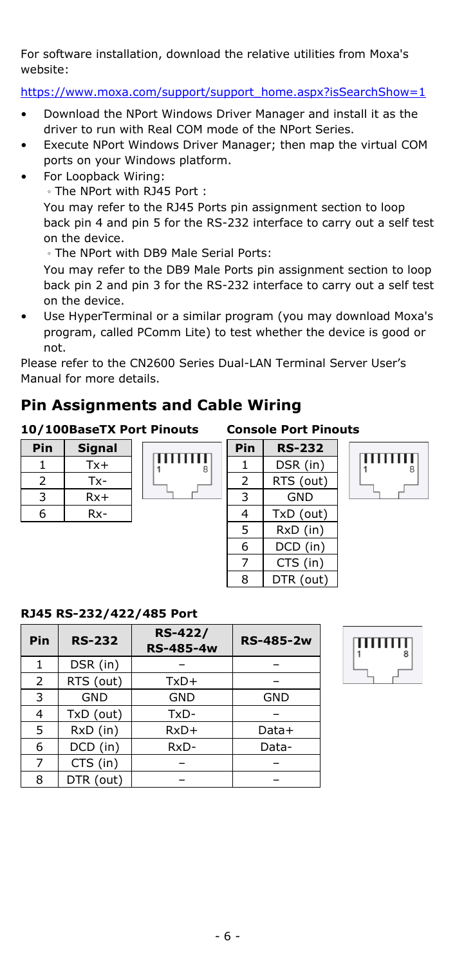For software installation, download the relative utilities from Moxa's website:

[https://www.moxa.com/support/support\\_home.aspx?isSearchShow=1](https://www.moxa.com/support/support_home.aspx?isSearchShow=1)

- Download the NPort Windows Driver Manager and install it as the driver to run with Real COM mode of the NPort Series.
- Execute NPort Windows Driver Manager; then map the virtual COM ports on your Windows platform.
- For Loopback Wiring:
	- 。The NPort with RJ45 Port :

You may refer to the RJ45 Ports pin assignment section to loop back pin 4 and pin 5 for the RS-232 interface to carry out a self test on the device.

。The NPort with DB9 Male Serial Ports:

You may refer to the DB9 Male Ports pin assignment section to loop back pin 2 and pin 3 for the RS-232 interface to carry out a self test on the device.

• Use HyperTerminal or a similar program (you may download Moxa's program, called PComm Lite) to test whether the device is good or not.

Please refer to the CN2600 Series Dual-LAN Terminal Server User's Manual for more details.

# **Pin Assignments and Cable Wiring**

#### **10/100BaseTX Port Pinouts Console Port Pinouts**

**RJ45 RS-232/422/485 Port**

| Pin | Signal |
|-----|--------|
|     | Tx+    |
| 2   | Tx-    |
| ্ব  | $Rx+$  |
| հ   | Rx-    |

|  | шшш | å |
|--|-----|---|
|  |     |   |

| Pin | <b>RS-232</b> |  |  |  |
|-----|---------------|--|--|--|
| 1   | DSR (in)      |  |  |  |
| 2   | RTS (out)     |  |  |  |
| 3   | <b>GND</b>    |  |  |  |
| 4   | TxD (out)     |  |  |  |
| 5   | RxD (in)      |  |  |  |
| 6   | DCD (in)      |  |  |  |
| 7   | CTS (in)      |  |  |  |
| ႙   | DTR (out)     |  |  |  |





| Pin | <b>RS-232</b> | <b>RS-422/</b><br><b>RS-485-4w</b> | <b>RS-485-2w</b> |
|-----|---------------|------------------------------------|------------------|
|     | DSR (in)      |                                    |                  |
| 2   | RTS (out)     | $TxD+$                             |                  |
| 3   | GND           | GND                                | GND              |
| 4   | TxD (out)     | TxD-                               |                  |
| 5   | RxD (in)      | $RxD+$                             | Data+            |
| 6   | DCD (in)      | RxD-                               | Data-            |
|     | CTS (in)      |                                    |                  |
| 8   | DTR (out)     |                                    |                  |